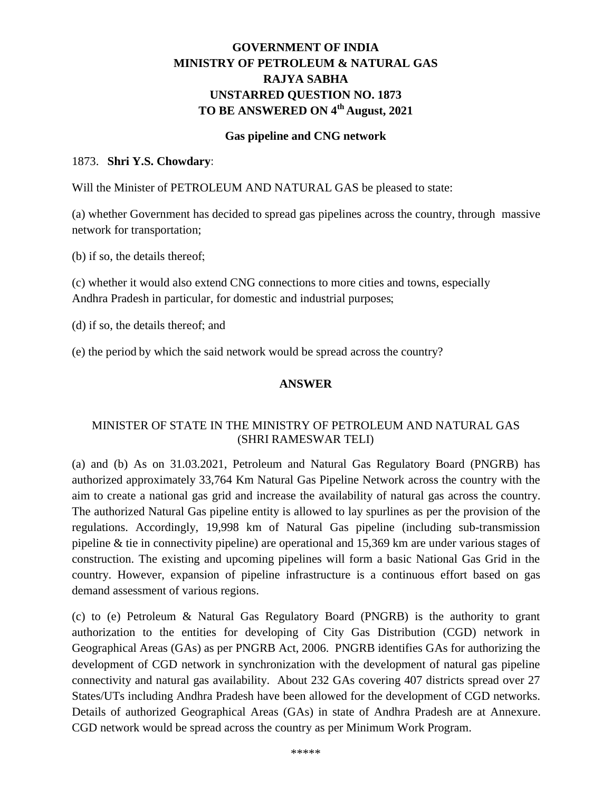## **GOVERNMENT OF INDIA MINISTRY OF PETROLEUM & NATURAL GAS RAJYA SABHA UNSTARRED QUESTION NO. 1873 TO BE ANSWERED ON 4th August, 2021**

#### **Gas pipeline and CNG network**

#### 1873. **Shri Y.S. Chowdary**:

Will the Minister of PETROLEUM AND NATURAL GAS be pleased to state:

(a) whether Government has decided to spread gas pipelines across the country, through massive network for transportation;

(b) if so, the details thereof;

(c) whether it would also extend CNG connections to more cities and towns, especially Andhra Pradesh in particular, for domestic and industrial purposes;

(d) if so, the details thereof; and

(e) the period by which the said network would be spread across the country?

#### **ANSWER**

### MINISTER OF STATE IN THE MINISTRY OF PETROLEUM AND NATURAL GAS (SHRI RAMESWAR TELI)

(a) and (b) As on 31.03.2021, Petroleum and Natural Gas Regulatory Board (PNGRB) has authorized approximately 33,764 Km Natural Gas Pipeline Network across the country with the aim to create a national gas grid and increase the availability of natural gas across the country. The authorized Natural Gas pipeline entity is allowed to lay spurlines as per the provision of the regulations. Accordingly, 19,998 km of Natural Gas pipeline (including sub-transmission pipeline & tie in connectivity pipeline) are operational and 15,369 km are under various stages of construction. The existing and upcoming pipelines will form a basic National Gas Grid in the country. However, expansion of pipeline infrastructure is a continuous effort based on gas demand assessment of various regions.

(c) to (e) Petroleum & Natural Gas Regulatory Board (PNGRB) is the authority to grant authorization to the entities for developing of City Gas Distribution (CGD) network in Geographical Areas (GAs) as per PNGRB Act, 2006. PNGRB identifies GAs for authorizing the development of CGD network in synchronization with the development of natural gas pipeline connectivity and natural gas availability. About 232 GAs covering 407 districts spread over 27 States/UTs including Andhra Pradesh have been allowed for the development of CGD networks. Details of authorized Geographical Areas (GAs) in state of Andhra Pradesh are at Annexure. CGD network would be spread across the country as per Minimum Work Program.